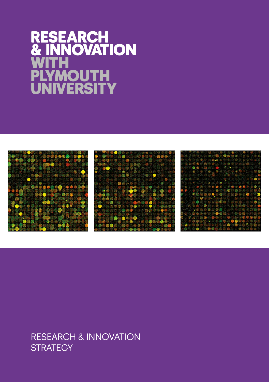# **RESEARCH** & INNOVATION WITH **PLYMOUTH UNIVERSITY**



### RESEARCH & INNOVATION **STRATEGY**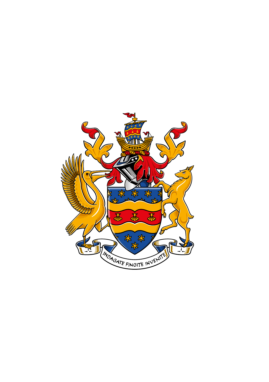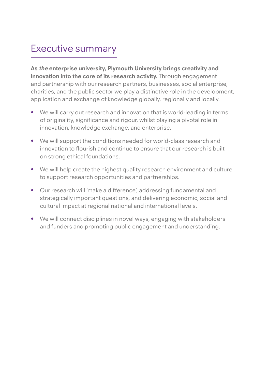### Executive summary

**As the enterprise university, Plymouth University brings creativity and innovation into the core of its research activity.** Through engagement and partnership with our research partners, businesses, social enterprise, charities, and the public sector we play a distinctive role in the development, application and exchange of knowledge globally, regionally and locally.

- We will carry out research and innovation that is world-leading in terms of originality, significance and rigour, whilst playing a pivotal role in innovation, knowledge exchange, and enterprise.
- We will support the conditions needed for world-class research and innovation to flourish and continue to ensure that our research is built on strong ethical foundations.
- We will help create the highest quality research environment and culture to support research opportunities and partnerships.
- Our research will 'make a difference', addressing fundamental and strategically important questions, and delivering economic, social and cultural impact at regional national and international levels.
- We will connect disciplines in novel ways, engaging with stakeholders and funders and promoting public engagement and understanding.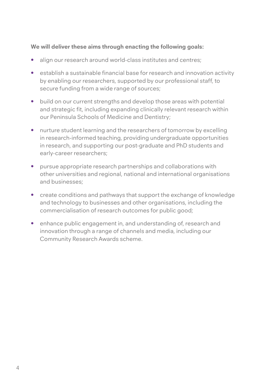#### **We will deliver these aims through enacting the following goals:**

- **•** align our research around world-class institutes and centres;
- **•** establish a sustainable financial base for research and innovation activity by enabling our researchers, supported by our professional staff, to secure funding from a wide range of sources;
- **•** build on our current strengths and develop those areas with potential and strategic fit, including expanding clinically relevant research within our Peninsula Schools of Medicine and Dentistry;
- **•** nurture student learning and the researchers of tomorrow by excelling in research-informed teaching, providing undergraduate opportunities in research, and supporting our post-graduate and PhD students and early-career researchers;
- **•** pursue appropriate research partnerships and collaborations with other universities and regional, national and international organisations and businesses;
- **•** create conditions and pathways that support the exchange of knowledge and technology to businesses and other organisations, including the commercialisation of research outcomes for public good;
- **•** enhance public engagement in, and understanding of, research and innovation through a range of channels and media, including our Community Research Awards scheme.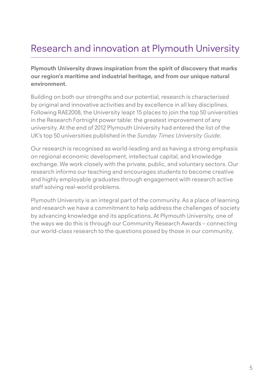## Research and innovation at Plymouth University

**Plymouth University draws inspiration from the spirit of discovery that marks our region's maritime and industrial heritage, and from our unique natural environment.**

Building on both our strengths and our potential, research is characterised by original and innovative activities and by excellence in all key disciplines. Following RAE2008, the University leapt 15 places to join the top 50 universities in the Research Fortnight power table: the greatest improvement of any university. At the end of 2012 Plymouth University had entered the list of the UK's top 50 universities published in the *Sunday Times University Guide*.

Our research is recognised as world-leading and as having a strong emphasis on regional economic development, intellectual capital, and knowledge exchange. We work closely with the private, public, and voluntary sectors. Our research informs our teaching and encourages students to become creative and highly employable graduates through engagement with research active staff solving real-world problems.

Plymouth University is an integral part of the community. As a place of learning and research we have a commitment to help address the challenges of society by advancing knowledge and its applications. At Plymouth University, one of the ways we do this is through our Community Research Awards – connecting our world-class research to the questions posed by those in our community.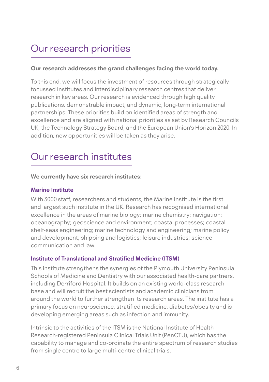## Our research priorities

#### **Our research addresses the grand challenges facing the world today.**

To this end, we will focus the investment of resources through strategically focussed Institutes and interdisciplinary research centres that deliver research in key areas. Our research is evidenced through high quality publications, demonstrable impact, and dynamic, long-term international partnerships. These priorities build on identified areas of strength and excellence and are aligned with national priorities as set by Research Councils UK, the Technology Strategy Board, and the European Union's Horizon 2020. In addition, new opportunities will be taken as they arise.

### Our research institutes

#### **We currently have six research institutes:**

#### **Marine Institute**

With 3000 staff, researchers and students, the Marine Institute is the first and largest such institute in the UK. Research has recognised international excellence in the areas of marine biology; marine chemistry; navigation; oceanography; geoscience and environment; coastal processes; coastal shelf-seas engineering; marine technology and engineering; marine policy and development; shipping and logistics; leisure industries; science communication and law.

#### **Institute of Translational and Stratified Medicine (ITSM)**

This institute strengthens the synergies of the Plymouth University Peninsula Schools of Medicine and Dentistry with our associated health-care partners, including Derriford Hospital. It builds on an existing world-class research base and will recruit the best scientists and academic clinicians from around the world to further strengthen its research areas. The institute has a primary focus on neuroscience, stratified medicine, diabetes/obesity and is developing emerging areas such as infection and immunity.

Intrinsic to the activities of the ITSM is the National Institute of Health Research-registered Peninsula Clinical Trials Unit (PenCTU), which has the capability to manage and co-ordinate the entire spectrum of research studies from single centre to large multi-centre clinical trials.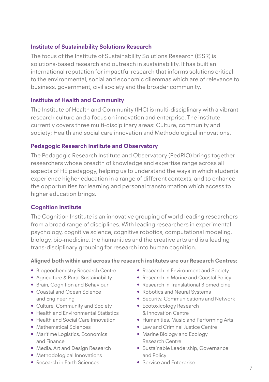#### **Institute of Sustainability Solutions Research**

The focus of the Institute of Sustainability Solutions Research (ISSR) is solutions-based research and outreach in sustainability. It has built an international reputation for impactful research that informs solutions critical to the environmental, social and economic dilemmas which are of relevance to business, government, civil society and the broader community.

#### **Institute of Health and Community**

The Institute of Health and Community (IHC) is multi-disciplinary with a vibrant research culture and a focus on innovation and enterprise. The institute currently covers three multi-disciplinary areas: Culture, community and society; Health and social care innovation and Methodological innovations.

#### **Pedagogic Research Institute and Observatory**

The Pedagogic Research Institute and Observatory (PedRIO) brings together researchers whose breadth of knowledge and expertise range across all aspects of HE pedagogy, helping us to understand the ways in which students experience higher education in a range of different contexts, and to enhance the opportunities for learning and personal transformation which access to higher education brings.

#### **Cognition Institute**

The Cognition Institute is an innovative grouping of world leading researchers from a broad range of disciplines. With leading researchers in experimental psychology, cognitive science, cognitive robotics, computational modeling, biology, bio-medicine, the humanities and the creative arts and is a leading trans-disciplinary grouping for research into human cognition.

#### **Aligned both within and across the research institutes are our Research Centres:**

- Biogeochemistry Research Centre
- Agriculture & Rural Sustainability
- Brain, Cognition and Behaviour
- Coastal and Ocean Science and Engineering
- Culture, Community and Society
- Health and Environmental Statistics
- Health and Social Care Innovation
- Mathematical Sciences
- Maritime Logistics, Economics and Finance
- Media, Art and Design Research
- Methodological Innovations
- Research in Earth Sciences
- Research in Environment and Society
- Research in Marine and Coastal Policy
- Research in Translational Biomedicine
- Robotics and Neural Systems
- Security, Communications and Network
- Ecotoxicology Research & Innovation Centre
- Humanities, Music and Performing Arts
- Law and Criminal Justice Centre
- Marine Biology and Ecology Research Centre
- Sustainable Leadership, Governance and Policy
- Service and Enterprise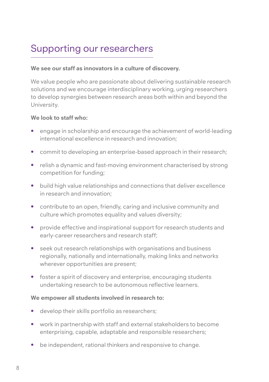## Supporting our researchers

#### **We see our staff as innovators in a culture of discovery.**

We value people who are passionate about delivering sustainable research solutions and we encourage interdisciplinary working, urging researchers to develop synergies between research areas both within and beyond the University.

#### **We look to staff who:**

- engage in scholarship and encourage the achievement of world-leading international excellence in research and innovation;
- commit to developing an enterprise-based approach in their research;
- relish a dynamic and fast-moving environment characterised by strong competition for funding;
- build high value relationships and connections that deliver excellence in research and innovation;
- contribute to an open, friendly, caring and inclusive community and culture which promotes equality and values diversity;
- provide effective and inspirational support for research students and early-career researchers and research staff;
- seek out research relationships with organisations and business regionally, nationally and internationally, making links and networks wherever opportunities are present;
- foster a spirit of discovery and enterprise, encouraging students undertaking research to be autonomous reflective learners.

#### **We empower all students involved in research to:**

- develop their skills portfolio as researchers;
- work in partnership with staff and external stakeholders to become enterprising, capable, adaptable and responsible researchers;
- be independent, rational thinkers and responsive to change.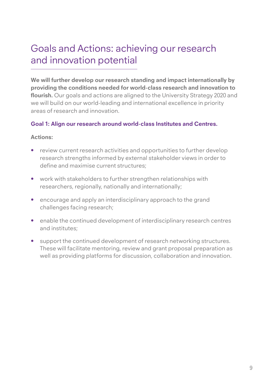### Goals and Actions: achieving our research and innovation potential

**We will further develop our research standing and impact internationally by providing the conditions needed for world-class research and innovation to flourish.** Our goals and actions are aligned to the University Strategy 2020 and we will build on our world-leading and international excellence in priority areas of research and innovation.

#### **Goal 1: Align our research around world-class Institutes and Centres.**

- review current research activities and opportunities to further develop research strengths informed by external stakeholder views in order to define and maximise current structures;
- work with stakeholders to further strengthen relationships with researchers, regionally, nationally and internationally;
- encourage and apply an interdisciplinary approach to the grand challenges facing research;
- enable the continued development of interdisciplinary research centres and institutes;
- support the continued development of research networking structures. These will facilitate mentoring, review and grant proposal preparation as well as providing platforms for discussion, collaboration and innovation.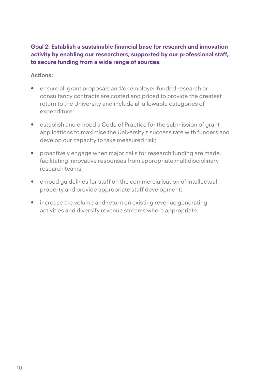#### **Goal 2: Establish a sustainable financial base for research and innovation activity by enabling our researchers, supported by our professional staff, to secure funding from a wide range of sources**.

- ensure all grant proposals and/or employer-funded research or consultancy contracts are costed and priced to provide the greatest return to the University and include all allowable categories of expenditure;
- establish and embed a Code of Practice for the submission of grant applications to maximise the University's success rate with funders and develop our capacity to take measured risk;
- proactively engage when major calls for research funding are made, facilitating innovative responses from appropriate multidisciplinary research teams;
- embed guidelines for staff on the commercialisation of intellectual property and provide appropriate staff development;
- increase the volume and return on existing revenue generating activities and diversify revenue streams where appropriate.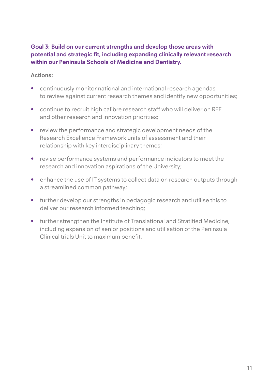#### **Goal 3: Build on our current strengths and develop those areas with potential and strategic fit, including expanding clinically relevant research within our Peninsula Schools of Medicine and Dentistry.**

- continuously monitor national and international research agendas to review against current research themes and identify new opportunities;
- continue to recruit high calibre research staff who will deliver on REF and other research and innovation priorities;
- review the performance and strategic development needs of the Research Excellence Framework units of assessment and their relationship with key interdisciplinary themes;
- revise performance systems and performance indicators to meet the research and innovation aspirations of the University;
- enhance the use of IT systems to collect data on research outputs through a streamlined common pathway;
- further develop our strengths in pedagogic research and utilise this to deliver our research informed teaching;
- further strengthen the Institute of Translational and Stratified Medicine, including expansion of senior positions and utilisation of the Peninsula Clinical trials Unit to maximum benefit.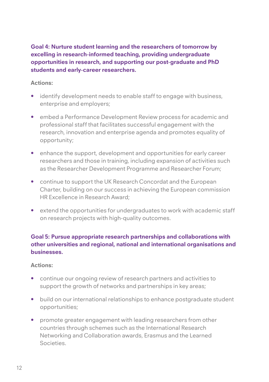**Goal 4: Nurture student learning and the researchers of tomorrow by excelling in research-informed teaching, providing undergraduate opportunities in research, and supporting our post-graduate and PhD students and early-career researchers.**

#### **Actions:**

- identify development needs to enable staff to engage with business, enterprise and employers;
- embed a Performance Development Review process for academic and professional staff that facilitates successful engagement with the research, innovation and enterprise agenda and promotes equality of opportunity;
- enhance the support, development and opportunities for early career researchers and those in training, including expansion of activities such as the Researcher Development Programme and Researcher Forum;
- continue to support the UK Research Concordat and the European Charter, building on our success in achieving the European commission HR Excellence in Research Award;
- extend the opportunities for undergraduates to work with academic staff on research projects with high-quality outcomes.

#### **Goal 5: Pursue appropriate research partnerships and collaborations with other universities and regional, national and international organisations and businesses.**

- continue our ongoing review of research partners and activities to support the growth of networks and partnerships in key areas;
- build on our international relationships to enhance postgraduate student opportunities;
- promote greater engagement with leading researchers from other countries through schemes such as the International Research Networking and Collaboration awards, Erasmus and the Learned Societies.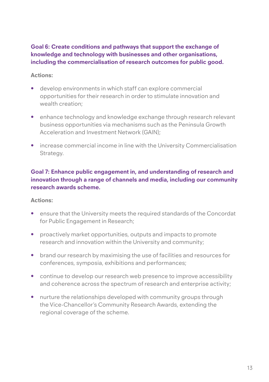#### **Goal 6: Create conditions and pathways that support the exchange of knowledge and technology with businesses and other organisations, including the commercialisation of research outcomes for public good.**

#### **Actions:**

- develop environments in which staff can explore commercial opportunities for their research in order to stimulate innovation and wealth creation;
- enhance technology and knowledge exchange through research relevant business opportunities via mechanisms such as the Peninsula Growth Acceleration and Investment Network (GAIN);
- increase commercial income in line with the University Commercialisation Strategy.

#### **Goal 7: Enhance public engagement in, and understanding of research and innovation through a range of channels and media, including our community research awards scheme.**

- ensure that the University meets the required standards of the Concordat for Public Engagement in Research;
- proactively market opportunities, outputs and impacts to promote research and innovation within the University and community;
- brand our research by maximising the use of facilities and resources for conferences, symposia, exhibitions and performances;
- continue to develop our research web presence to improve accessibility and coherence across the spectrum of research and enterprise activity;
- nurture the relationships developed with community groups through the Vice-Chancellor's Community Research Awards, extending the regional coverage of the scheme.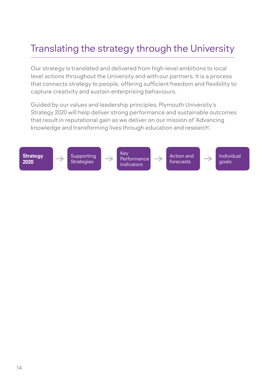## Translating the strategy through the University

Our strategy is translated and delivered from high-level ambitions to local level actions throughout the University and with our partners. It is a process that connects strategy to people, offering sufficient freedom and flexibility to capture creativity and sustain enterprising behaviours.

Guided by our values and leadership principles, Plymouth University's Strategy 2020 will help deliver strong performance and sustainable outcomes that result in reputational gain as we deliver on our mission of 'Advancing knowledge and transforming lives through education and research'.

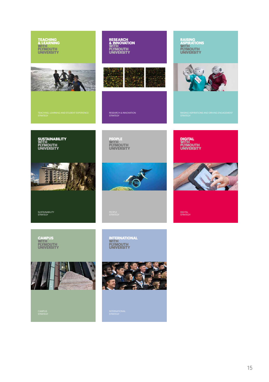